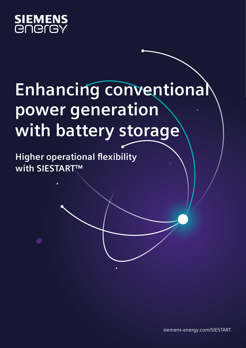

# **Enhancing conventional power generation with battery storage**

**Higher operational flexibility with SIESTART™**

[siemens-energy.com/SIESTART](http://siemens-energy.com/SIESTART)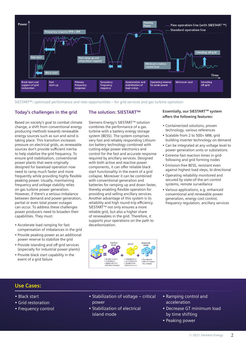

SIESTART™: optimized performance and new opportunities – for grid services and gas turbine operation

### **Today's challenges in the grid**

Based on society's goal to combat climate change, a shift from conventional energy producing methods towards renewable energy sources such as sun and wind is taking place. This transition increases pressure on electrical grids, as renewable sources don't provide sufficient inertia to help stabilize the grid frequency. To ensure grid stabilization, conventional power plants that were originally designed for baseload operation now need to ramp much faster and more frequently while providing highly flexible peaking power. Usually, maintaining frequency and voltage stability relies on gas turbine power generation. However, if there's a serious imbalance between demand and power generation, partial or even total power outages can occur. To address these challenges power producers need to broaden their capabilities. They must:

- Accelerate load ramping for fast compensation of imbalances in the grid
- Provide peaking power as an additional power reserve to stabilize the grid
- Provide islanding and off-grid services (especially for industrial power plants)
- Provide black start capability in the event of a grid failure

#### **The solution: SIESTART™**

Siemens Energy's SIESTART™ solution combines the performance of a gas turbine with a battery energy storage system (BESS). The system comprises very fast and reliably responding Lithiumion battery technology combined with cutting-edge power electronics and control for the fast and accurate response required by ancillary services. Designed with both active and reactive power components, it can offer reliable black start functionality in the event of a grid collapse. Moreover it can be combined with conventional generation and batteries for ramping up and down faster, thereby enabling flexible operation for providing and selling ancillary services. Another advantage of this system is its reliability and high round-trip efficiency. SIESTART<sup>™</sup> not only ensures a more reliable grid, but also a higher share of renewables in the grid. Therefore, it supports your operations on the path to decarbonization.

#### **Essentially, our SIESTART™ system offers the following features:**

- Containerized solutions, proven technology, various references
- Scalable from 2 to 500+ MW, grid building inverter technology on demand
- Can be integrated at any voltage level to power generation units or substations
- Extreme fast reaction times in gridfollowing and grid forming nodes
- Emission-free BESS, resistant even against highest load steps, bi-directional
- Operating reliability monitored and secured by state-of-the-art control systems, remote surveillance
- Various applications, e.g. enhanced conventional and renewable power generation, energy cost control, frequency regulation, ancillary services



## **Use Cases:**

- Black start
- Grid restoration
- Frequency control
- Stabilization of voltage critical power
- Stabilization of electrical island mode
- Ramping control and acceleration
- Decrease GT minimum load by time shifting
- Peaking power